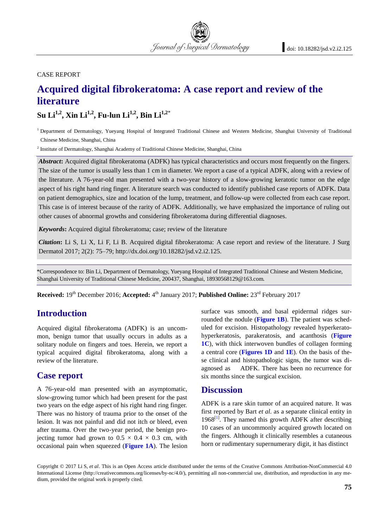CASE REPORT

# **Acquired digital fibrokeratoma: A case report and review of the literature**

**Su Li1,2, Xin Li1,2, Fu-lun Li1,2, Bin Li1,2**\*

<sup>1</sup> Department of Dermatology, Yueyang Hospital of Integrated Traditional Chinese and Western Medicine, Shanghai University of Traditional Chinese Medicine, Shanghai, China

Journal of Surgical Dermatology

<sup>2</sup> Institute of Dermatology, Shanghai Academy of Traditional Chinese Medicine, Shanghai, China

*Abstract***:** Acquired digital fibrokeratoma (ADFK) has typical characteristics and occurs most frequently on the fingers. The size of the tumor is usually less than 1 cm in diameter. We report a case of a typical ADFK, along with a review of the literature. A 76-year-old man presented with a two-year history of a slow-growing keratotic tumor on the edge aspect of his right hand ring finger. A literature search was conducted to identify published case reports of ADFK. Data on patient demographics, size and location of the lump, treatment, and follow-up were collected from each case report. This case is of interest because of the rarity of ADFK. Additionally, we have emphasized the importance of ruling out other causes of abnormal growths and considering fibrokeratoma during differential diagnoses.

*Keywords***:** Acquired digital fibrokeratoma; case; review of the literature

*Citation***:** Li S, Li X, Li F, Li B. Acquired digital fibrokeratoma: A case report and review of the literature. J Surg Dermatol 2017; 2(2): 75–79; http://dx.doi.org/10.18282/jsd.v2.i2.125.

\*Correspondence to: Bin Li, Department of Dermatology, Yueyang Hospital of Integrated Traditional Chinese and Western Medicine, Shanghai University of Traditional Chinese Medicine, 200437, Shanghai, 18930568129@163.com.

**Received:** 19<sup>th</sup> December 2016; **Accepted:** 4<sup>th</sup> January 2017; **Published Online:** 23<sup>rd</sup> February 2017

#### **Introduction**

Acquired digital fibrokeratoma (ADFK) is an uncommon, benign tumor that usually occurs in adults as a solitary nodule on fingers and toes. Herein, we report a typical acquired digital fibrokeratoma, along with a review of the literature.

#### **Case report**

A 76-year-old man presented with an asymptomatic, slow-growing tumor which had been present for the past two years on the edge aspect of his right hand ring finger. There was no history of trauma prior to the onset of the lesion. It was not painful and did not itch or bleed, even after trauma. Over the two-year period, the benign projecting tumor had grown to  $0.5 \times 0.4 \times 0.3$  cm, with occasional pain when squeezed (**[Figure 1A](#page-1-0)**). The lesion surface was smooth, and basal epidermal ridges surrounded the nodule (**[Figure 1B](#page-1-0)**). The patient was scheduled for excision. Histopathology revealed hyperkeratohyperkeratosis, parakeratosis, and acanthosis (**[Figure](#page-1-0)  [1C](#page-1-0)**), with thick interwoven bundles of collagen forming a central core (**[Figures 1D](#page-1-0)** and **[1E](#page-1-0)**). On the basis of these clinical and histopathologic signs, the tumor was diagnosed as ADFK. There has been no recurrence for six months since the surgical excision.

#### **Discussion**

ADFK is a rare skin tumor of an acquired nature. It was first reported by Bart *et al.* as a separate clinical entity in  $1968^{[1]}$  $1968^{[1]}$  $1968^{[1]}$ . They named this growth ADFK after describing 10 cases of an uncommonly acquired growth located on the fingers. Although it clinically resembles a cutaneous horn or rudimentary supernumerary digit, it has distinct

Copyright © 2017 Li S, *et al*. This is an Open Access article distributed under the terms of the Creative Commons Attribution-NonCommercial 4.0 International License (http://creativecommons.org/licenses/by-nc/4.0/), permitting all non-commercial use, distribution, and reproduction in any medium, provided the original work is properly cited.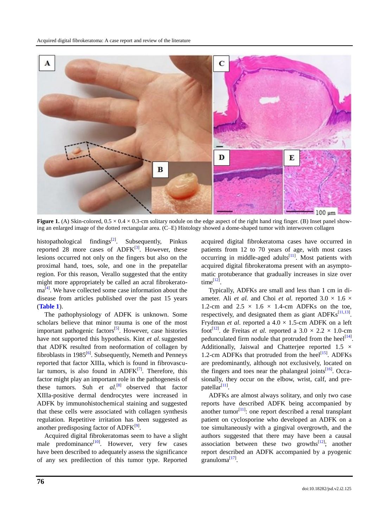

<span id="page-1-0"></span>**Figure 1.** (A) Skin-colored,  $0.5 \times 0.4 \times 0.3$ -cm solitary nodule on the edge aspect of the right hand ring finger. (B) Inset panel showing an enlarged image of the dotted rectangular area. (C–E) Histology showed a dome-shaped tumor with interwoven collagen

histopathological findings<sup>[\[2\]](#page-3-1)</sup>. Subsequently, Pinkus reported 28 more cases of  $ADFK^{[3]}$  $ADFK^{[3]}$  $ADFK^{[3]}$ . However, these lesions occurred not only on the fingers but also on the proximal hand, toes, sole, and one in the prepatellar region. For this reason, Verallo suggested that the entity might more appropriately be called an acral fibrokerato-ma<sup>[\[4\]](#page-3-3)</sup>. We have collected some case information about the disease from articles published over the past 15 years (**Table 1**).

The pathophysiology of ADFK is unknown. Some scholars believe that minor trauma is one of the most important pathogenic factors<sup>[\[5\]](#page-3-4)</sup>. However, case histories have not supported this hypothesis. Kint *et al.*suggested that ADFK resulted from neoformation of collagen by fibroblasts in 1985<sup>[\[6\]](#page-3-5)</sup>. Subsequently, Nemeth and Penneys reported that factor XIIIa, which is found in fibrovascular tumors, is also found in  $ADFK^{[7]}$  $ADFK^{[7]}$  $ADFK^{[7]}$ . Therefore, this factor might play an important role in the pathogenesis of these tumors. Suh *et al.*<sup>[8]</sup> observed that factor XIIIa-positive dermal dendrocytes were increased in ADFK by immunohistochemical staining and suggested that these cells were associated with collagen synthesis regulation. Repetitive irritation has been suggested as another predisposing factor of ADFK<sup>[\[9\]](#page-3-8)</sup>.

Acquired digital fibrokeratomas seem to have a slight male predominance<sup>[\[10\]](#page-3-9)</sup>. However, very few cases have been described to adequately assess the significance of any sex predilection of this tumor type. Reported

acquired digital fibrokeratoma cases have occurred in patients from 12 to 70 years of age, with most cases occurring in middle-aged adults<sup>[\[11\]](#page-3-10)</sup>. Most patients with acquired digital fibrokeratoma present with an asymptomatic protuberance that gradually increases in size over  $time^{[12]}$  $time^{[12]}$  $time^{[12]}$ .

Typically, ADFKs are small and less than 1 cm in diameter. Ali *et al.* and Choi *et al.* reported  $3.0 \times 1.6 \times$ 1.2-cm and  $2.5 \times 1.6 \times 1.4$ -cm ADFKs on the toe, respectively, and designated them as giant  $ADFKs^{[11,13]}$  $ADFKs^{[11,13]}$  $ADFKs^{[11,13]}$  $ADFKs^{[11,13]}$ . Frydman *et al.* reported a  $4.0 \times 1.5$ -cm ADFK on a left foot<sup>[\[12\]](#page-3-11)</sup>. de Freitas *et al.* reported a  $3.0 \times 2.2 \times 1.0$ -cm pedunculated firm nodule that protruded from the heel $[14]$ . Additionally, Jaiswal and Chatterjee reported  $1.5 \times$ 1.2-cm ADFKs that protruded from the heel $^{[15]}$  $^{[15]}$  $^{[15]}$ . ADFKs are predominantly, although not exclusively, located on the fingers and toes near the phalangeal joints $\frac{16}{6}$ . Occasionally, they occur on the elbow, wrist, calf, and prepatellar $^{[11]}$  $^{[11]}$  $^{[11]}$ .

ADFKs are almost always solitary, and only two case reports have described ADFK being accompanied by another tumor $\left[11\right]$ : one report described a renal transplant patient on cyclosporine who developed an ADFK on a toe simultaneously with a gingival overgrowth, and the authors suggested that there may have been a causal association between these two growths $[12]$ ; another report described an ADFK accompanied by a pyogenic granuloma $^{[17]}$  $^{[17]}$  $^{[17]}$ .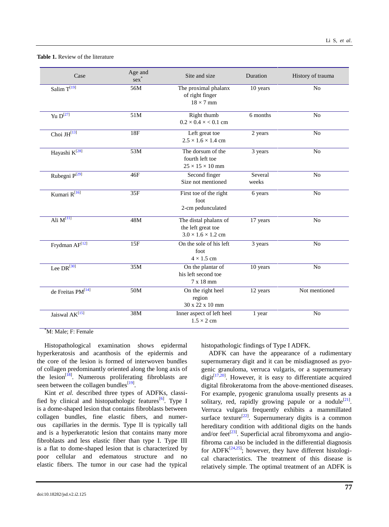#### **Table 1.** Review of the literature

| Case                          | Age and<br>$sex^*$ | Site and size                                                                 | Duration         | History of trauma |
|-------------------------------|--------------------|-------------------------------------------------------------------------------|------------------|-------------------|
| Salim $T^{[19]}$              | 56M                | The proximal phalanx<br>of right finger<br>$18 \times 7$ mm                   | 10 years         | No                |
| Yu $D^{27}$                   | 51M                | Right thumb<br>$0.2 \times 0.4 \times 0.1$ cm                                 | $6$ months       | No                |
| Choi JH <sup>[13]</sup>       | <b>18F</b>         | Left great toe<br>$2.5 \times 1.6 \times 1.4$ cm                              | 2 years          | No                |
| Hayashi K <sup>[28]</sup>     | 53M                | The dorsum of the<br>fourth left toe<br>$25 \times 15 \times 10$ mm           | 3 years          | No                |
| Rubegni P <sup>[29]</sup>     | 46F                | Second finger<br>Size not mentioned                                           | Several<br>weeks | No                |
| Kumari R <sup>[16]</sup>      | 35F                | First toe of the right<br>foot<br>2-cm pedunculated                           | 6 years          | No                |
| Ali $M^{[11]}$                | 48M                | The distal phalanx of<br>the left great toe<br>$3.0 \times 1.6 \times 1.2$ cm | 17 years         | No                |
| Frydman $AF^{[12]}$           | 15F                | On the sole of his left<br>foot<br>$4 \times 1.5$ cm                          | 3 years          | No                |
| Lee $DR^{\overline{[30]}}$    | 35M                | On the plantar of<br>his left second toe<br>7 x 18 mm                         | 10 years         | No                |
| de Freitas PM <sup>[14]</sup> | 50M                | On the right heel<br>region<br>30 x 22 x 10 mm                                | 12 years         | Not mentioned     |
| Jaiswal $AK^{[15]}$           | 38M                | Inner aspect of left heel<br>$1.5 \times 2$ cm                                | 1 year           | No                |

\*M: Male; F: Female

Histopathological examination shows epidermal hyperkeratosis and acanthosis of the epidermis and the core of the lesion is formed of interwoven bundles of collagen predominantly oriented along the long axis of the lesion<sup>[\[18\]](#page-3-18)</sup>. Numerous proliferating fibroblasts are seen between the collagen bundles $^{[19]}$  $^{[19]}$  $^{[19]}$ .

Kint *et al.* described three types of ADFKs, classi-fied by clinical and histopathologic features<sup>[\[6\]](#page-3-5)</sup>. Type I is a dome-shaped lesion that contains fibroblasts between collagen bundles, fine elastic fibers, and numerous capillaries in the dermis. Type II is typically tall and is a hyperkeratotic lesion that contains many more fibroblasts and less elastic fiber than type I. Type III is a flat to dome-shaped lesion that is characterized by poor cellular and edematous structure and no elastic fibers. The tumor in our case had the typical

histopathologic findings of Type I ADFK.

ADFK can have the appearance of a rudimentary supernumerary digit and it can be misdiagnosed as pyogenic granuloma, verruca vulgaris, or a supernumerary digit $\left[17,20\right]$  $\left[17,20\right]$  $\left[17,20\right]$ . However, it is easy to differentiate acquired digital fibrokeratoma from the above-mentioned diseases. For example, pyogenic granuloma usually presents as a solitary, red, rapidly growing papule or a nodule<sup>[\[21\]](#page-3-20)</sup>. Verruca vulgaris frequently exhibits a mammillated surface texture<sup>[\[22\]](#page-3-21)</sup>. Supernumerary digits is a common hereditary condition with additional digits on the hands and/or feet<sup>[\[23\]](#page-4-4)</sup>. Superficial acral fibromyxoma and angiofibroma can also be included in the differential diagnosis for ADF $K^{[24,25]}$  $K^{[24,25]}$  $K^{[24,25]}$  $K^{[24,25]}$ ; however, they have different histological characteristics. The treatment of this disease is relatively simple. The optimal treatment of an ADFK is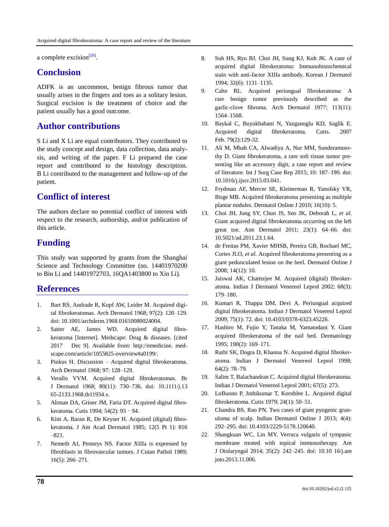a complete excision<sup>[\[26\]](#page-4-7)</sup>.

# **Conclusion**

ADFK is an uncommon, benign fibrous tumor that usually arises in the fingers and toes as a solitary lesion. Surgical excision is the treatment of choice and the patient usually has a good outcome.

## **Author contributions**

S Li and X Li are equal contributors. They contributed to the study concept and design, data collection, data analysis, and writing of the paper. F Li prepared the case report and contributed to the histology description. B Li contributed to the management and follow-up of the patient.

# **Conflict of interest**

The authors declare no potential conflict of interest with respect to the research, authorship, and/or publication of this article.

# **Funding**

This study was supported by grants from the Shanghai Science and Technology Committee (no. 14401970200 to Bin Li and 14401972703, 16QA1403800 to Xin Li).

### **References**

- <span id="page-3-0"></span>1. Bart RS, Andrade R, Kopf AW, Leider M. Acquired digital fibrokeratomas. Arch Dermatol 1968; 97(2): 120–129. doi: 10.1001/archderm.1968.01610080024004.
- <span id="page-3-1"></span>2. Satter AE, James WD. Acquired digital fibrokeratoma [Internet]. Medscape: Drug & diseases. [cited 2017 Dec 9]. Available from: http://emedicine. medscape.com/article/1055825-overview#a0199/.
- <span id="page-3-2"></span>3. Pinkus H. Discussion – Acquired digital fibrokeratoma. Arch Dermatol 1968; 97: 128–129.
- <span id="page-3-3"></span>4. Verallo VVM. Acquired digital fibrokeratomas. Br J Dermatol 1968; 80(11): 730–736. doi: 10.1111/j.13 65-2133.1968.tb11934.x.
- <span id="page-3-4"></span>5. Altman DA, Griner JM, Faria DT. Acquired digital fibrokeratoma. Cutis 1994; 54(2): 93–94.
- <span id="page-3-5"></span>6. Kint A, Baran R, De Keyser H. Acquired (digital) fibrokeratoma. J Am Acad Dermatol 1985; 12(5 Pt 1): 816 –821.
- <span id="page-3-6"></span>7. Nemeth AJ, Penneys NS. Factor XIIIa is expressed by fibroblasts in fibrovascular tumors. J Cutan Pathol 1989; 16(5): 266–271.
- <span id="page-3-7"></span>8. Suh HS, Ryu BJ, Choi JH, Sung KJ, Koh JK. A case of acquired digital fibrokeratoma: Immunohistochemical stain with anti-factor XIIIa antibody. Korean J Dermatol 1994; 32(6): 1131–1135.
- <span id="page-3-8"></span>9. Cahn RL. Acquired periungual fibrokeratoma: A rare benign tumor previously described as the garlic-clove fibroma. Arch Dermatol 1977; 113(11): 1564–1568.
- <span id="page-3-9"></span>10. Baykal C, Buyukbabani N, Yazganoglu KD, Saglik E. Acquired digital fibrokeratoma. Cutis. 2007 Feb. 79(2):129-32.
- <span id="page-3-10"></span>11. Ali M, Mbah CA, Alwadiya A, Nur MM, Sunderamoorthy D. Giant fibrokeratoma, a rare soft tissue tumor presenting like an accessory digit, a case report and review of literature. Int J Surg Case Rep 2015; 10: 187–190. doi: 10.1016/j.ijscr.2015.03.041.
- <span id="page-3-11"></span>12. Frydman AF, Mercer SE, Kleinerman R, Yanofsky VR, Birge MB. Acquired fibrokeratoma presenting as multiple plantar nodules. Dermatol Online J 2010; 16(10): 5.
- <span id="page-3-12"></span>13. Choi JH, Jung SY, Chun JS, Seo JK, Deborah L, *et al*. Giant acquired digital fibrokeratoma occurring on the left great toe. Ann Dermatol 2011; 23(1): 64–66. doi: 10.5021/ad.2011.23.1.64.
- <span id="page-3-13"></span>14. de Freitas PM, Xavier MHSB, Pereira GB, Rochael MC, Cortes JLO, *et al.* Acquired fibrokeratoma presenting as a giant pedunculated lesion on the heel. Dermatol Online J 2008; 14(12): 10.
- <span id="page-3-14"></span>15. Jaiswal AK, Chatterjee M. Acquired (digital) fibrokeratoma. Indian J Dermatol Venereol Leprol 2002; 68(3): 179–180.
- <span id="page-3-15"></span>16. Kumari R, Thappa DM, Devi A. Periungual acquired digital fibrokeratoma. Indian J Dermatol Venereol Leprol 2009; 75(1): 72. doi: 10.4103/0378-6323.45226.
- <span id="page-3-16"></span>17. Hashiro M, Fujio Y, Tanaka M, Yamatodani Y. Giant acquired fibrokeratoma of the nail bed. Dermatology 1995; 190(2): 169–171.
- <span id="page-3-18"></span>18. Rathi SK, Dogra D, Khanna N. Acquired digital fibrokeratoma. Indian J Dermatol Venereol Leprol 1998; 64(2): 78–79.
- <span id="page-3-17"></span>19. Salim T, Balachandran C. Acquired digital fibrokeratoma. Indian J Dermatol Venereol Leprol 2001; 67(5): 273.
- <span id="page-3-19"></span>20. LoBuono P, Jothikumar T, Kornblee L. Acquired digital fibrokeratoma. Cutis 1979; 24(1): 50–51.
- <span id="page-3-20"></span>21. Chandra BS, Rao PN. Two cases of giant pyogenic granuloma of scalp. Indian Dermatol Online J 2013; 4(4): 292–295. doi: 10.4103/2229-5178.120640.
- <span id="page-3-21"></span>22. Shangkuan WC, Lin MY. Verruca vulgaris of tympanic membrane treated with topical immunotherapy. Am J Otolaryngol 2014; 35(2): 242–245. doi: 10.10 16/j.am joto.2013.11.006.